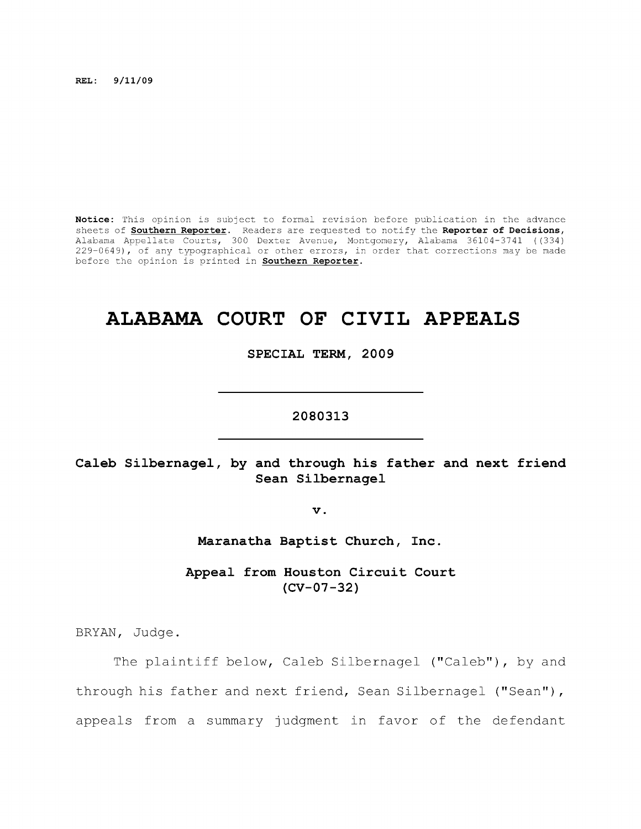**REL: 9/11/09** 

**Notice:** This opinion is subject to formal revision before publication in the advance sheets of **Southern Reporter.** Readers are requested to notify the **Reporter of Decisions,**  Alabama Appellate Courts, 300 Dexter Avenue, Montgomery, Alabama 36104-3741 ((334) 229-0649), of any typographical or other errors, in order that corrections may be made before the opinion is printed in **Southern Reporter.** 

# **ALABAMA COURT OF CIVIL APPEALS**

**SPECIAL TERM, 2009** 

# **2080313**

# **Caleb Silbernagel, by and through his father and next friend Sean Silbernagel**

**V .** 

**Maranatha Baptist Church, Inc.** 

**Appeal from Houston Circuit Court (CV-07-32)** 

BRYAN, Judge.

The plaintiff below, Caleb Silbernagel ("Caleb"), by and through his father and next friend, Sean Silbernagel ("Sean"), appeals from a summary judgment in favor of the defendant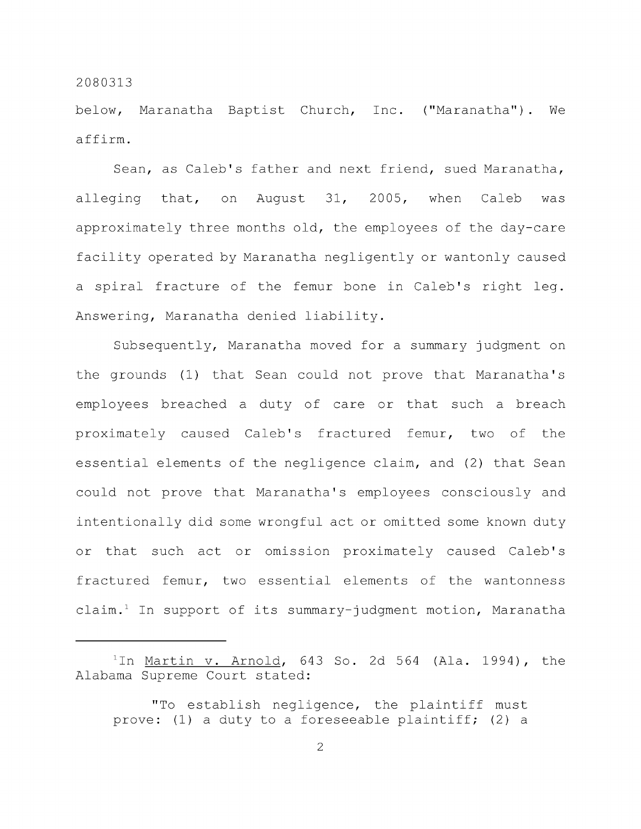below, Maranatha Baptist Church, Inc. ("Maranatha"). We affirm.

Sean, as Caleb's father and next friend, sued Maranatha, alleging that, on August 31, 2005, when Caleb was approximately three months old, the employees of the day-care facility operated by Maranatha negligently or wantonly caused a spiral fracture of the femur bone in Caleb's right leg. Answering, Maranatha denied liability.

Subsequently, Maranatha moved for a summary judgment on the grounds (1) that Sean could not prove that Maranatha's employees breached a duty of care or that such a breach proximately caused Caleb's fractured femur, two of the essential elements of the negligence claim, and (2) that Sean could not prove that Maranatha's employees consciously and intentionally did some wrongful act or omitted some known duty or that such act or omission proximately caused Caleb's fractured femur, two essential elements of the wantonness claim. $^1$  In support of its summary-judgment motion, Maranatha

 $1$ In <u>Martin v. Arnold</u>, 643 So. 2d 564 (Ala. 1994), the Alabama Supreme Court stated:

<sup>&</sup>quot;To establish negligence, the plaintiff must prove: (1) a duty to a foreseeable plaintiff; (2) a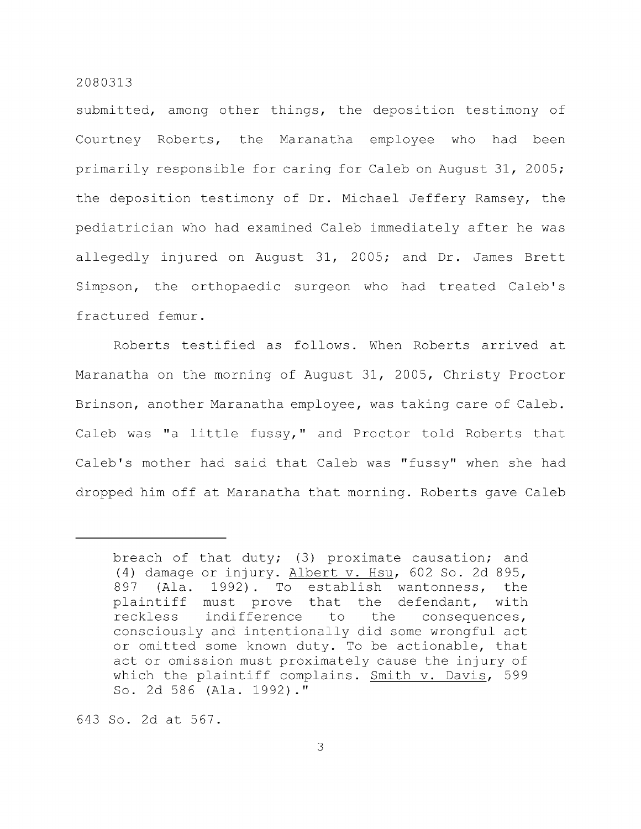submitted, among other things, the deposition testimony of Courtney Roberts, the Maranatha employee who had been primarily responsible for caring for Caleb on August 31, 2005; the deposition testimony of Dr. Michael Jeffery Ramsey, the pediatrician who had examined Caleb immediately after he was allegedly injured on August 31, 2005; and Dr. James Brett Simpson, the orthopaedic surgeon who had treated Caleb's fractured femur.

Roberts testified as follows. When Roberts arrived at Maranatha on the morning of August 31, 2005, Christy Proctor Brinson, another Maranatha employee, was taking care of Caleb. Caleb was "a little fussy," and Proctor told Roberts that Caleb's mother had said that Caleb was "fussy" when she had dropped him off at Maranatha that morning. Roberts gave Caleb

643 So. 2d at 567.

breach of that duty; (3) proximate causation; and (4) damage or injury. Albert v. Hsu, 602 So. 2d 895, 897 (Ala. 1992) . To establish wantonness, the plaintiff must prove that the defendant, with reckless indifference to the consequences, consciously and intentionally did some wrongful act or omitted some known duty. To be actionable, that act or omission must proximately cause the injury of which the plaintiff complains. Smith v. Davis, 599 So. 2d 586 (Ala. 1992) ."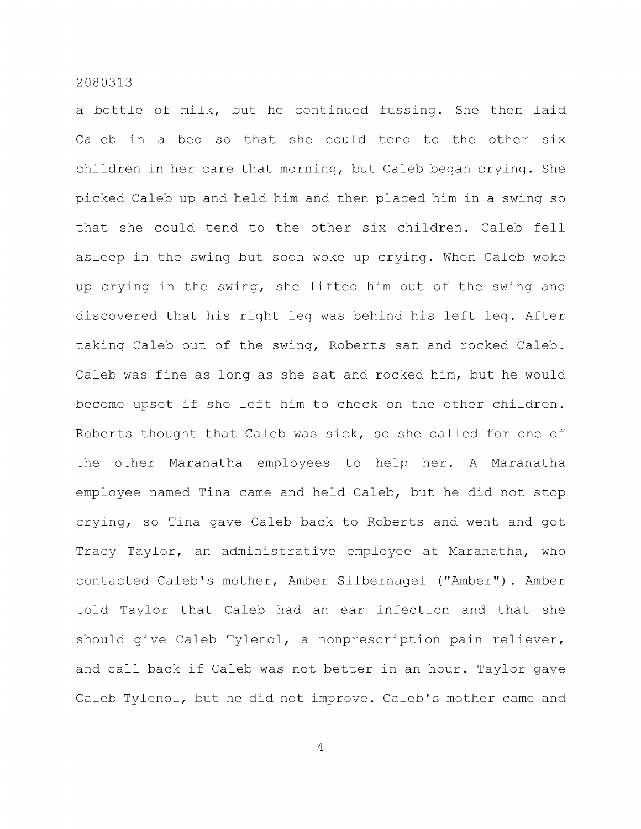a bottle of milk, but he continued fussing. She then laid Caleb in a bed so that she could tend to the other six children in her care that morning, but Caleb began crying. She picked Caleb up and held him and then placed him in a swing so that she could tend to the other six children. Caleb fell asleep in the swing but soon woke up crying. When Caleb woke up crying in the swing, she lifted him out of the swing and discovered that his right leg was behind his left leg. After taking Caleb out of the swing, Roberts sat and rocked Caleb. Caleb was fine as long as she sat and rocked him, but he would become upset if she left him to check on the other children. Roberts thought that Caleb was sick, so she called for one of the other Maranatha employees to help her. A Maranatha employee named Tina came and held Caleb, but he did not stop crying, so Tina gave Caleb back to Roberts and went and got Tracy Taylor, an administrative employee at Maranatha, who contacted Caleb's mother. Amber Silbernagel ("Amber"). Amber told Taylor that Caleb had an ear infection and that she should give Caleb Tylenol, a nonprescription pain reliever, and call back if Caleb was not better in an hour. Taylor gave Caleb Tylenol, but he did not improve. Caleb's mother came and

 $\overline{4}$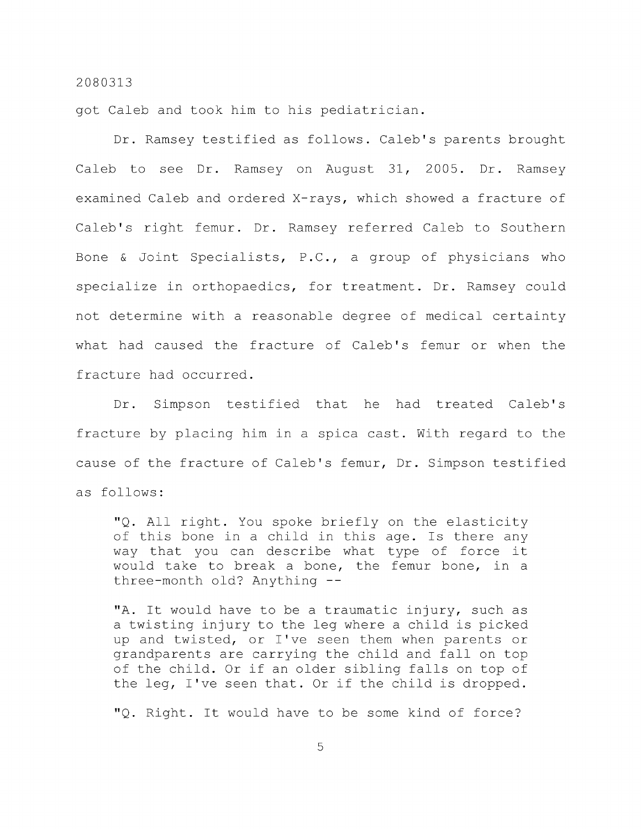got Caleb and took him to his pediatrician.

Dr. Ramsey testified as follows. Caleb's parents brought Caleb to see Dr. Ramsey on August 31, 2005. Dr. Ramsey examined Caleb and ordered X-rays, which showed a fracture of Caleb's right femur. Dr. Ramsey referred Caleb to Southern Bone & Joint Specialists, P.C., a group of physicians who specialize in orthopaedics, for treatment. Dr. Ramsey could not determine with a reasonable degree of medical certainty what had caused the fracture of Caleb's femur or when the fracture had occurred.

Dr. Simpson testified that he had treated Caleb's fracture by placing him in a spica cast. With regard to the cause of the fracture of Caleb's femur. Dr. Simpson testified as follows:

"Q. All right. You spoke briefly on the elasticity of this bone in a child in this age. Is there any way that you can describe what type of force it would take to break a bone, the femur bone, in a three-month old? Anything --

"A. It would have to be a traumatic injury, such as a twisting injury to the leg where a child is picked up and twisted, or I've seen them when parents or grandparents are carrying the child and fall on top of the child. Or if an older sibling falls on top of the leg, I've seen that. Or if the child is dropped.

"Q. Right. It would have to be some kind of force?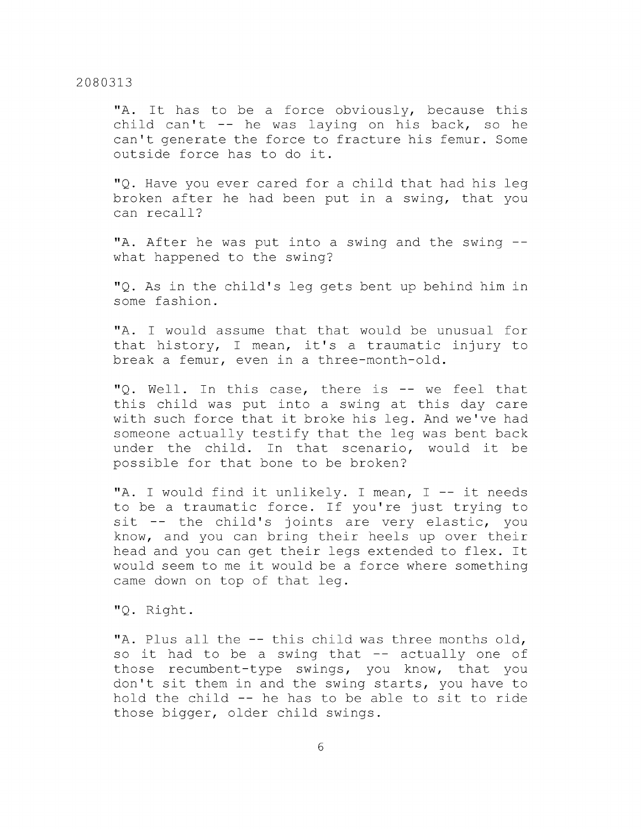"A. It has to be a force obviously, because this child can't  $-$  he was laying on his back, so he can't generate the force to fracture his femur. Some outside force has to do it.

"Q. Have you ever cared for a child that had his leg broken after he had been put in a swing, that you can recall?

"A. After he was put into a swing and the swing - what happened to the swing?

"Q. As in the child's leg gets bent up behind him in some fashion.

"A. I would assume that that would be unusual for that history, I mean, it's a traumatic injury to break a femur, even in a three-month-old.

"Q. Well. In this case, there is -- we feel that this child was put into a swing at this day care with such force that it broke his leg. And we've had someone actually testify that the leg was bent back under the child. In that scenario, would it be possible for that bone to be broken?

"A. I would find it unlikely. I mean,  $I$  -- it needs to be a traumatic force. If you're just trying to sit -- the child's joints are very elastic, you know, and you can bring their heels up over their head and you can get their legs extended to flex. It would seem to me it would be a force where something came down on top of that leg.

"Q. Right.

"A. Plus all the -- this child was three months old, so it had to be a swing that  $-$  actually one of those recumbent-type swings, you know, that you don't sit them in and the swing starts, you have to hold the child -- he has to be able to sit to ride those bigger, older child swings.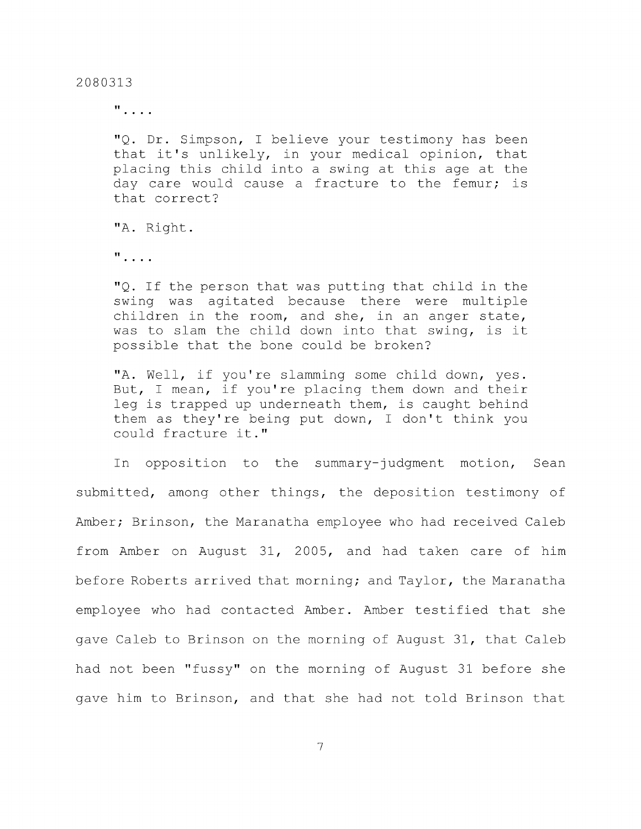$\mathbf{u}$  . . . .

"Q. Dr. Simpson, I believe your testimony has been that it's unlikely, in your medical opinion, that placing this child into a swing at this age at the day care would cause a fracture to the femur; is that correct?

"A. Right.

 $\mathbf{u}$ , ...

"Q. If the person that was putting that child in the swing was agitated because there were multiple children in the room, and she, in an anger state, was to slam the child down into that swing, is it possible that the bone could be broken?

"A. Well, if you're slamming some child down, yes. But, I mean, if you're placing them down and their leg is trapped up underneath them, is caught behind them as they're being put down, I don't think you could fracture it."

In opposition to the summary-judgment motion, Sean submitted, among other things, the deposition testimony of Amber; Brinson, the Maranatha employee who had received Caleb from Amber on August 31, 2005, and had taken care of him before Roberts arrived that morning; and Taylor, the Maranatha employee who had contacted Amber. Amber testified that she gave Caleb to Brinson on the morning of August 31, that Caleb had not been "fussy" on the morning of August 31 before she gave him to Brinson, and that she had not told Brinson that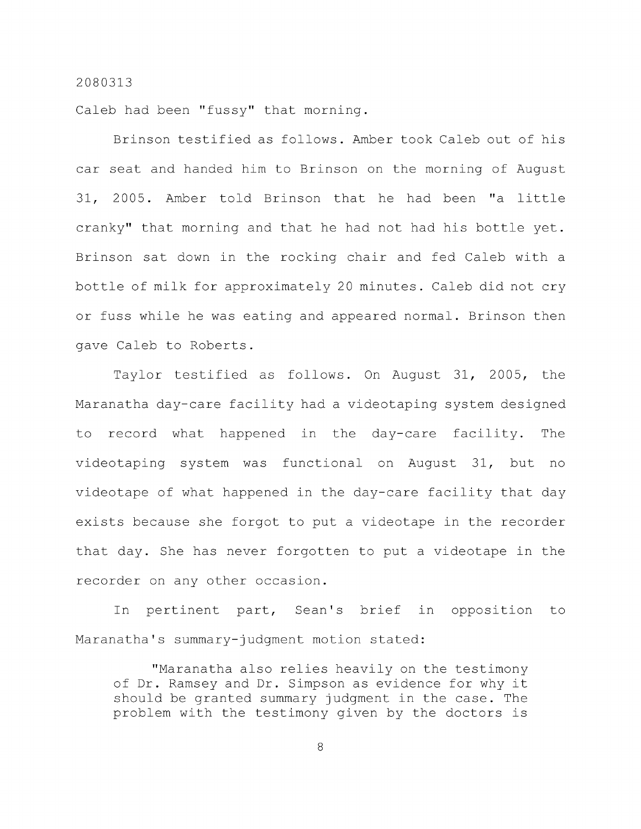Caleb had been "fussy" that morning.

Brinson testified as follows. Amber took Caleb out of his car seat and handed him to Brinson on the morning of August 31, 2005. Amber told Brinson that he had been "a little cranky" that morning and that he had not had his bottle yet. Brinson sat down in the rocking chair and fed Caleb with a bottle of milk for approximately 20 minutes. Caleb did not cry or fuss while he was eating and appeared normal. Brinson then gave Caleb to Roberts.

Taylor testified as follows. On August 31, 2005, the Maranatha day-care facility had a videotaping system designed to record what happened in the day-care facility. The videotaping system was functional on August 31, but no videotape of what happened in the day-care facility that day exists because she forgot to put a videotape in the recorder that day. She has never forgotten to put a videotape in the recorder on any other occasion.

In pertinent part, Sean's brief in opposition to Maranatha's summary-judgment motion stated:

"Maranatha also relies heavily on the testimony of Dr. Ramsey and Dr. Simpson as evidence for why it should be granted summary judgment in the case. The problem with the testimony given by the doctors is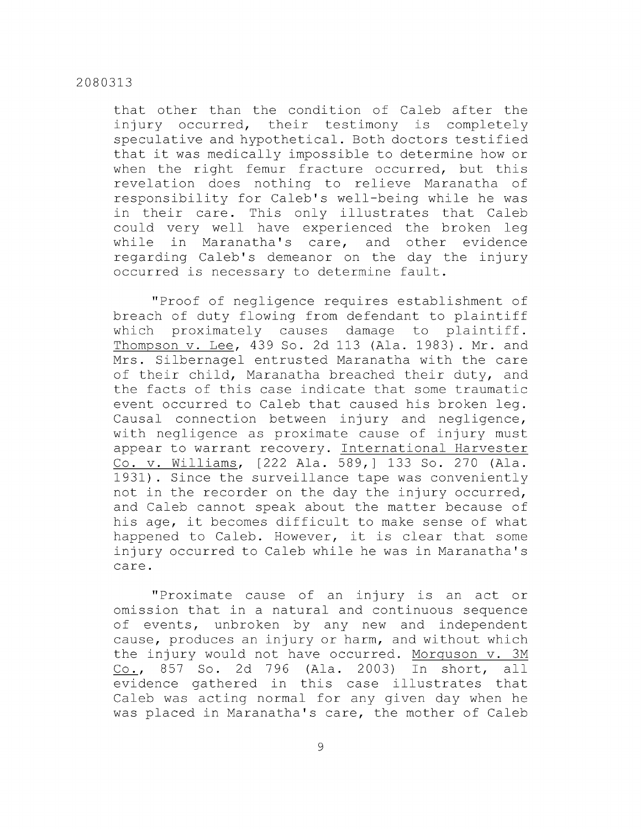that other than the condition of Caleb after the injury occurred, their testimony is completely speculative and hypothetical. Both doctors testified that it was medically impossible to determine how or when the right femur fracture occurred, but this revelation does nothing to relieve Maranatha of responsibility for Caleb's well-being while he was in their care. This only illustrates that Caleb could very well have experienced the broken leg while in Maranatha's care, and other evidence regarding Caleb's demeanor on the day the injury occurred is necessary to determine fault.

"Proof of negligence requires establishment of breach of duty flowing from defendant to plaintiff which proximately causes damage to plaintiff. Thompson v. Lee, 439 So. 2d 113 (Ala. 1983) . Mr. and Mrs. Silbernagel entrusted Maranatha with the care of their child, Maranatha breached their duty, and the facts of this case indicate that some traumatic event occurred to Caleb that caused his broken leg. Causal connection between injury and negligence, with negligence as proximate cause of injury must appear to warrant recovery. International Harvester Co. V. Williams, [222 Ala. 589,] 133 So. 270 (Ala. 1931) . Since the surveillance tape was conveniently not in the recorder on the day the injury occurred, and Caleb cannot speak about the matter because of his age, it becomes difficult to make sense of what happened to Caleb. However, it is clear that some injury occurred to Caleb while he was in Maranatha's care.

"Proximate cause of an injury is an act or omission that in a natural and continuous sequence of events, unbroken by any new and independent cause, produces an injury or harm, and without which the injury would not have occurred. Morguson v. 3M Co., 857 So. 2d 796 (Ala. 2003) In short, all evidence gathered in this case illustrates that Caleb was acting normal for any given day when he was placed in Maranatha's care, the mother of Caleb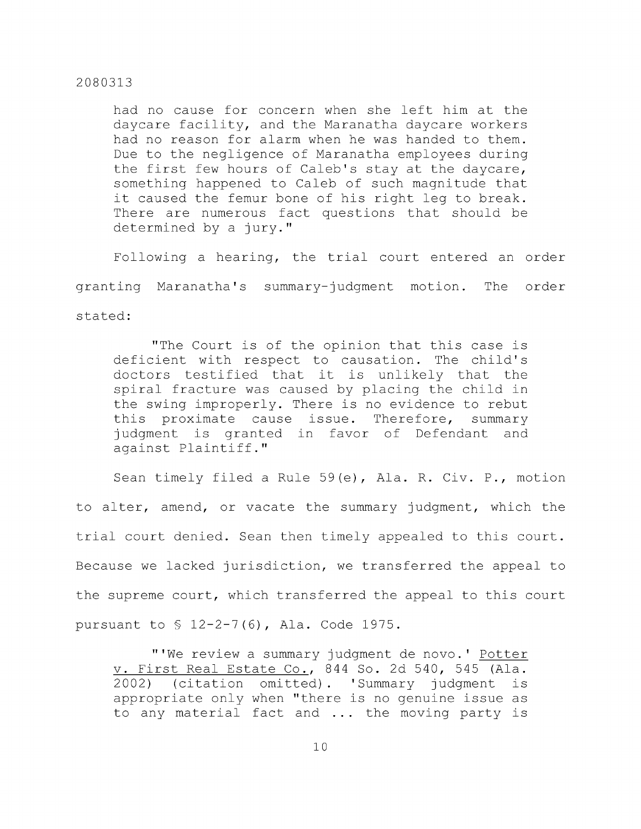had no cause for concern when she left him at the daycare facility, and the Maranatha daycare workers had no reason for alarm when he was handed to them. Due to the negligence of Maranatha employees during the first few hours of Caleb's stay at the daycare, something happened to Caleb of such magnitude that it caused the femur bone of his right leg to break. There are numerous fact questions that should be determined by a jury."

Following a hearing, the trial court entered an order granting Maranatha's summary-judgment motion. The order stated:

"The Court is of the opinion that this case is deficient with respect to causation. The child's doctors testified that it is unlikely that the spiral fracture was caused by placing the child in the swing improperly. There is no evidence to rebut this proximate cause issue. Therefore, summary judgment is granted in favor of Defendant and against Plaintiff."

Sean timely filed a Rule 59(e), Ala. R. Civ. P., motion to alter, amend, or vacate the summary judgment, which the trial court denied. Sean then timely appealed to this court. Because we lacked jurisdiction, we transferred the appeal to the supreme court, which transferred the appeal to this court pursuant to § 12-2-7(6), Ala. Code 1975.

"'We review a summary judgment de novo.' Potter v. First Real Estate Co., 844 So. 2d 540, 545 (Ala. 2002) (citation omitted). 'Summary judgment is appropriate only when "there is no genuine issue as to any material fact and ... the moving party is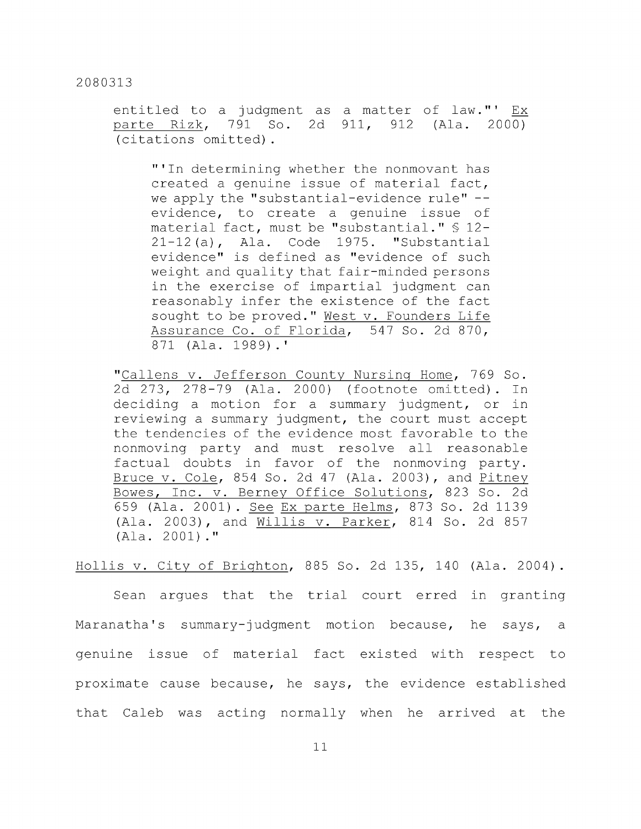entitled to a judgment as a matter of law."' Ex parte Rizk, 791 So. 2d 911, 912 (Ala. 2000) (citations omitted).

"'In determining whether the nonmovant has created a genuine issue of material fact, we apply the "substantial-evidence rule" -evidence, to create a genuine issue of material fact, must be "substantial." § 12- 21-12 (a), Ala. Code 1975. "Substantial evidence" is defined as "evidence of such weight and quality that fair-minded persons in the exercise of impartial judgment can reasonably infer the existence of the fact sought to be proved." West v. Founders Life Assurance Co. of Florida, 547 So. 2d 870, 871 (Ala. 1989).'

"Callens v. Jefferson County Nursing Home, 769 So. 2d 273, 278-79 (Ala. 2000) (footnote omitted). In deciding a motion for a summary judgment, or in reviewing a summary judgment, the court must accept the tendencies of the evidence most favorable to the nonmoving party and must resolve all reasonable factual doubts in favor of the nonmoving party. Bruce V. Cole, 854 So. 2d 47 (Ala. 2003), and Pitney Bowes, Inc. v. Berney Office Solutions, 823 So. 2d 659 (Ala. 2001) . See Ex parte Helms, 873 So. 2d 1139 (Ala. 2003), and Willis v. Parker, 814 So. 2d 857 (Ala. 2001)."

Hollis V. City of Brighton, 885 So. 2d 135, 140 (Ala. 2004) .

Sean argues that the trial court erred in granting Maranatha's summary-judgment motion because, he says, a genuine issue of material fact existed with respect to proximate cause because, he says, the evidence established that Caleb was acting normally when he arrived at the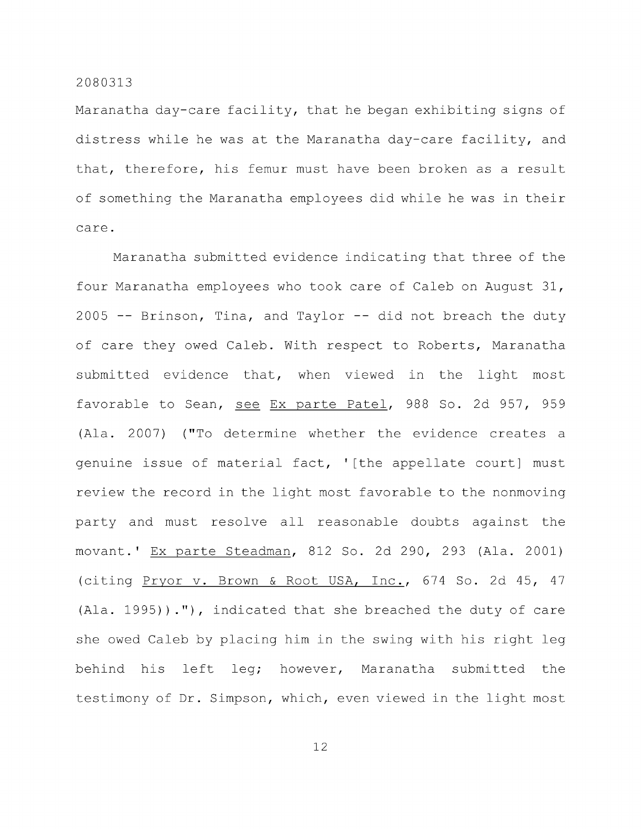Maranatha day-care facility, that he began exhibiting signs of distress while he was at the Maranatha day-care facility, and that, therefore, his femur must have been broken as a result of something the Maranatha employees did while he was in their care.

Maranatha submitted evidence indicating that three of the four Maranatha employees who took care of Caleb on August 31,  $2005$  -- Brinson, Tina, and Taylor -- did not breach the duty of care they owed Caleb. With respect to Roberts, Maranatha submitted evidence that, when viewed in the light most favorable to Sean, see Ex parte Patel, 988 So. 2d 957, 959 (Ala. 2007) ("To determine whether the evidence creates a genuine issue of material fact, ' [the appellate court] must review the record in the light most favorable to the nonmoving party and must resolve all reasonable doubts against the movant.' Ex parte Steadman, 812 So. 2d 290, 293 (Ala. 2001) (citing Pryor v. Brown & Root USA, Inc., 674 So. 2d 45, 47 (Ala. 1995))."), indicated that she breached the duty of care she owed Caleb by placing him in the swing with his right leg behind his left leg; however, Maranatha submitted the testimony of Dr. Simpson, which, even viewed in the light most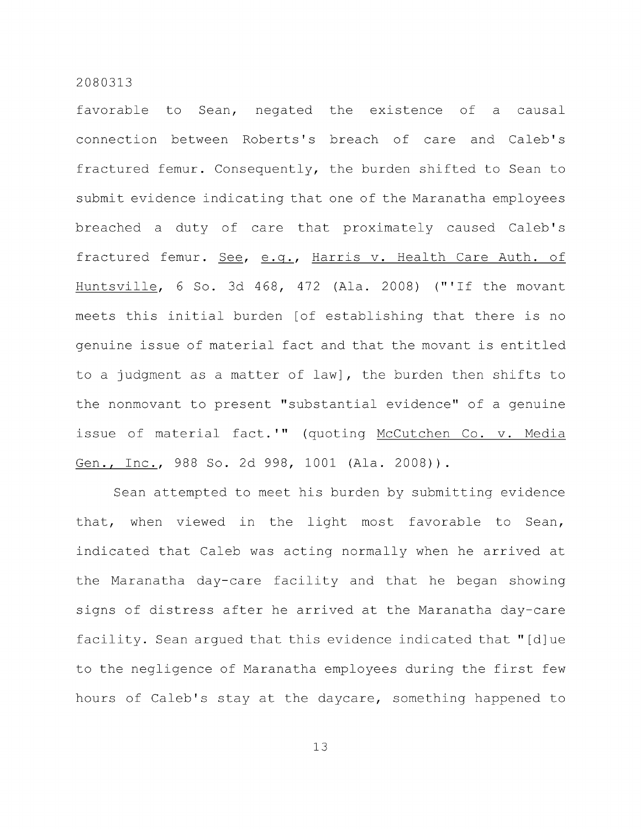favorable to Sean, negated the existence of a causal connection between Roberts's breach of care and Caleb's fractured femur. Consequently, the burden shifted to Sean to submit evidence indicating that one of the Maranatha employees breached a duty of care that proximately caused Caleb's fractured femur. See, e.g., Harris v. Health Care Auth. of Huntsville, 6 So. 3d 468, 472 (Ala. 2008) ("'If the movant meets this initial burden [of establishing that there is no genuine issue of material fact and that the movant is entitled to a judgment as a matter of law], the burden then shifts to the nonmovant to present "substantial evidence" of a genuine issue of material fact.'" (quoting McCutchen Co. v. Media Gen., Inc., 988 So. 2d 998, 1001 (Ala. 2008)).

Sean attempted to meet his burden by submitting evidence that, when viewed in the light most favorable to Sean, indicated that Caleb was acting normally when he arrived at the Maranatha day-care facility and that he began showing signs of distress after he arrived at the Maranatha day-care facility. Sean argued that this evidence indicated that "[d]ue to the negligence of Maranatha employees during the first few hours of Caleb's stay at the daycare, something happened to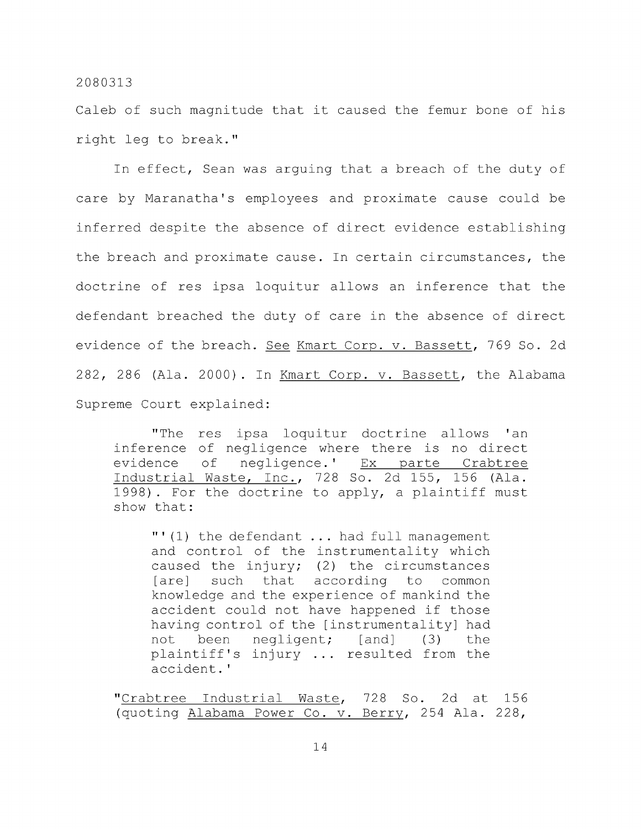Caleb of such magnitude that it caused the femur bone of his right leg to break."

In effect, Sean was arguing that a breach of the duty of care by Maranatha's employees and proximate cause could be inferred despite the absence of direct evidence establishing the breach and proximate cause. In certain circumstances, the doctrine of res ipsa loquitur allows an inference that the defendant breached the duty of care in the absence of direct evidence of the breach. See Kmart Corp. v. Bassett, 769 So. 2d 282, 286 (Ala. 2000) . In Kmart Corp. v. Bassett, the Alabama Supreme Court explained:

"The res ipsa loquitur doctrine allows 'an inference of negligence where there is no direct evidence of negligence.' Ex parte Crabtree Industrial Waste, Inc., 728 So. 2d 155, 156 (Ala. 1998) . For the doctrine to apply, a plaintiff must show that:

"' (1) the defendant ... had full management and control of the instrumentality which caused the injury; (2) the circumstances [are] such that according to common knowledge and the experience of mankind the accident could not have happened if those having control of the [instrumentality] had not been negligent; [and] (3) the plaintiff's injury ... resulted from the accident.'

"Crabtree Industrial Waste, 728 So. 2d at 156 (quoting Alabama Power Co. v. Berry, 254 Ala. 228,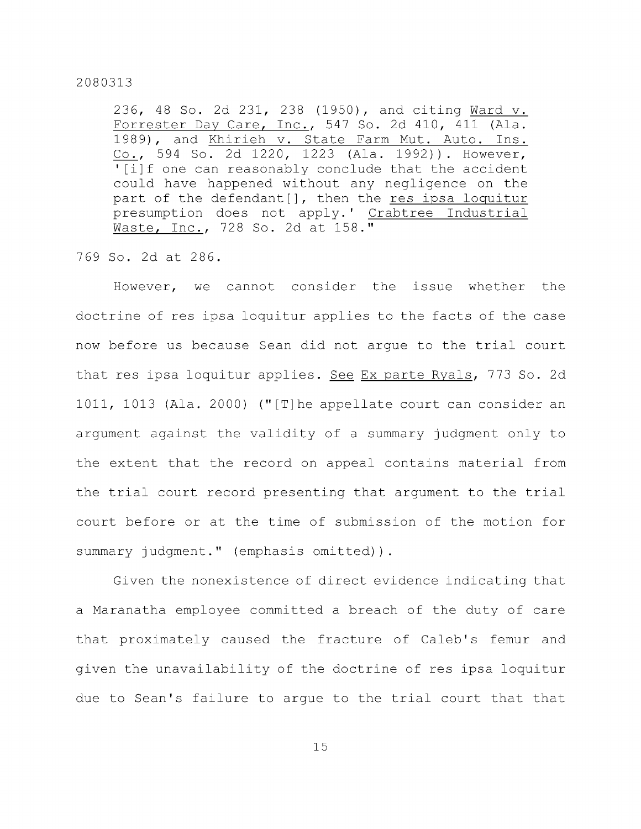236, 48 So. 2d 231, 238 (1950), and citing Ward v. Forrester Day Care, Inc., 547 So. 2d 410, 411 (Ala. 1989), and Khirieh v. State Farm Mut. Auto. Ins. Co., 594 So. 2d 1220, 1223 (Ala. 1992)). However, ' [i]f one can reasonably conclude that the accident could have happened without any negligence on the part of the defendant[], then the res ipsa loquitur presumption does not apply.' Crabtree Industrial Waste, Inc., 728 So. 2d at 158."

769 So. 2d at 286.

However, we cannot consider the issue whether the doctrine of res ipsa loquitur applies to the facts of the case now before us because Sean did not argue to the trial court that res ipsa loquitur applies. See Ex parte Ryals, 773 So. 2d 1011, 1013 (Ala. 2000) ("[T]he appellate court can consider an argument against the validity of a summary judgment only to the extent that the record on appeal contains material from the trial court record presenting that argument to the trial court before or at the time of submission of the motion for summary judgment." (emphasis omitted)).

Given the nonexistence of direct evidence indicating that a Maranatha employee committed a breach of the duty of care that proximately caused the fracture of Caleb's femur and given the unavailability of the doctrine of res ipsa loquitur due to Sean's failure to argue to the trial court that that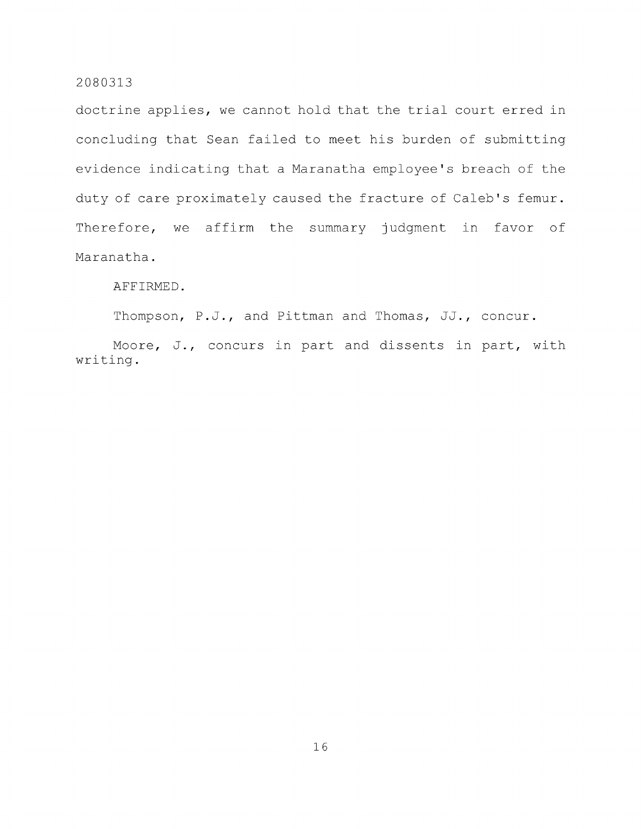doctrine applies, we cannot hold that the trial court erred in concluding that Sean failed to meet his burden of submitting evidence indicating that a Maranatha employee's breach of the duty of care proximately caused the fracture of Caleb's femur. Therefore, we affirm the summary judgment in favor of Maranatha.

#### AFFIRMED.

Thompson, P.J., and Pittman and Thomas, JJ., concur.

Moore, J., concurs in part and dissents in part, with writing.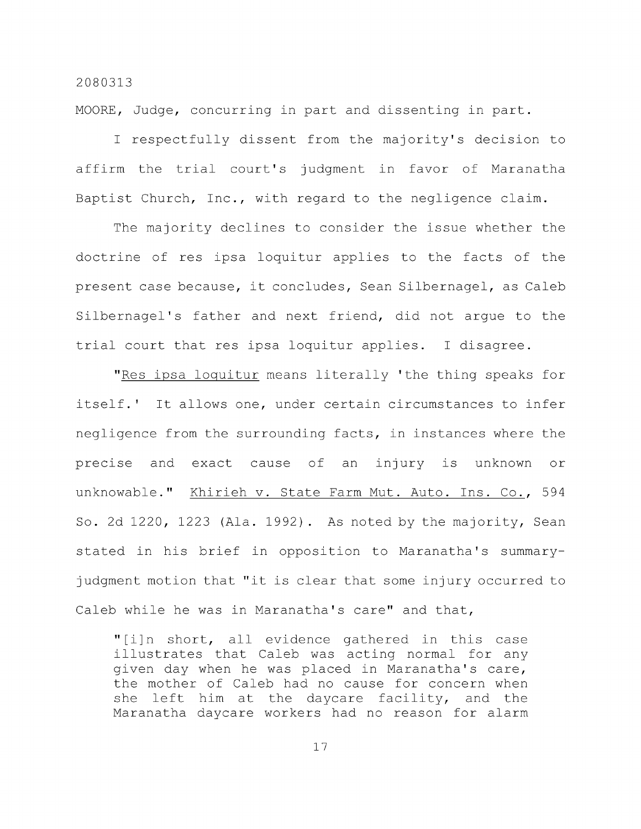MOORE, Judge, concurring in part and dissenting in part.

I respectfully dissent from the majority's decision to affirm the trial court's judgment in favor of Maranatha Baptist Church, Inc., with regard to the negligence claim.

The majority declines to consider the issue whether the doctrine of res ipsa loquitur applies to the facts of the present case because, it concludes, Sean Silbernagel, as Caleb Silbernagel's father and next friend, did not argue to the trial court that res ipsa loquitur applies. I disagree.

"Res ipsa loquitur means literally 'the thing speaks for itself.' It allows one, under certain circumstances to infer negligence from the surrounding facts, in instances where the precise and exact cause of an injury is unknown or unknowable." Khirieh v. State Farm Mut. Auto. Ins. Co., 594 So. 2d 1220, 1223 (Ala. 1992) . As noted by the majority, Sean stated in his brief in opposition to Maranatha's summaryjudgment motion that "it is clear that some injury occurred to Caleb while he was in Maranatha's care" and that,

"[i]n short, all evidence gathered in this case illustrates that Caleb was acting normal for any given day when he was placed in Maranatha's care, the mother of Caleb had no cause for concern when she left him at the daycare facility, and the Maranatha daycare workers had no reason for alarm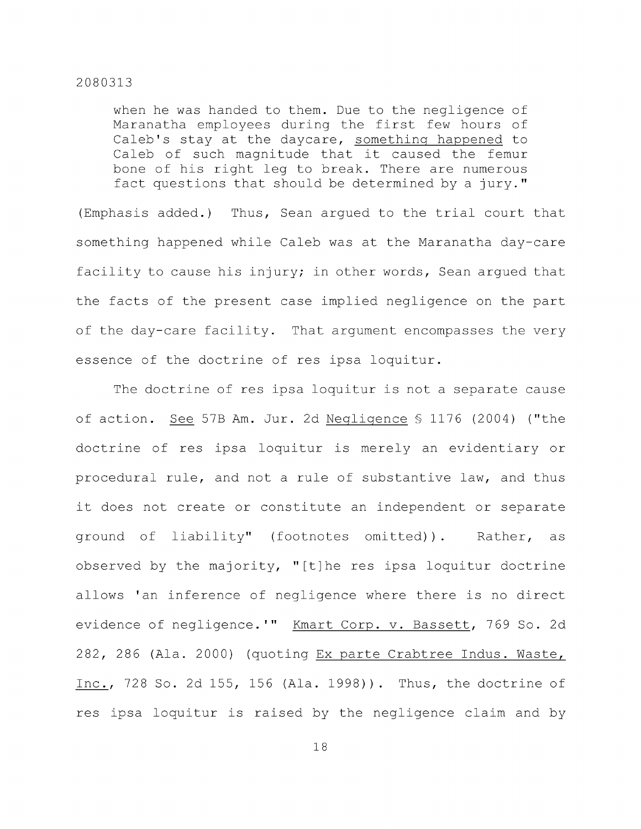when he was handed to them. Due to the negligence of Maranatha employees during the first few hours of Caleb's stay at the daycare, something happened to Caleb of such magnitude that it caused the femur bone of his right leg to break. There are numerous fact questions that should be determined by a jury."

(Emphasis added.) Thus, Sean argued to the trial court that something happened while Caleb was at the Maranatha day-care facility to cause his injury; in other words, Sean argued that the facts of the present case implied negligence on the part of the day-care facility. That argument encompasses the very essence of the doctrine of res ipsa loquitur.

The doctrine of res ipsa loquitur is not a separate cause of action. See 57B Am. Jur. 2d Negligence § 1176 (2004) ("the doctrine of res ipsa loquitur is merely an evidentiary or procedural rule, and not a rule of substantive law, and thus it does not create or constitute an independent or separate ground of liability" (footnotes omitted)). Rather, as observed by the majority, "[t]he res ipsa loquitur doctrine allows 'an inference of negligence where there is no direct evidence of negligence.'" Kmart Corp. v. Bassett, 769 So. 2d 282, 286 (Ala. 2000) (quoting Ex parte Crabtree Indus. Waste, Inc., 728 So. 2d 155, 156 (Ala. 1998)). Thus, the doctrine of res ipsa loquitur is raised by the negligence claim and by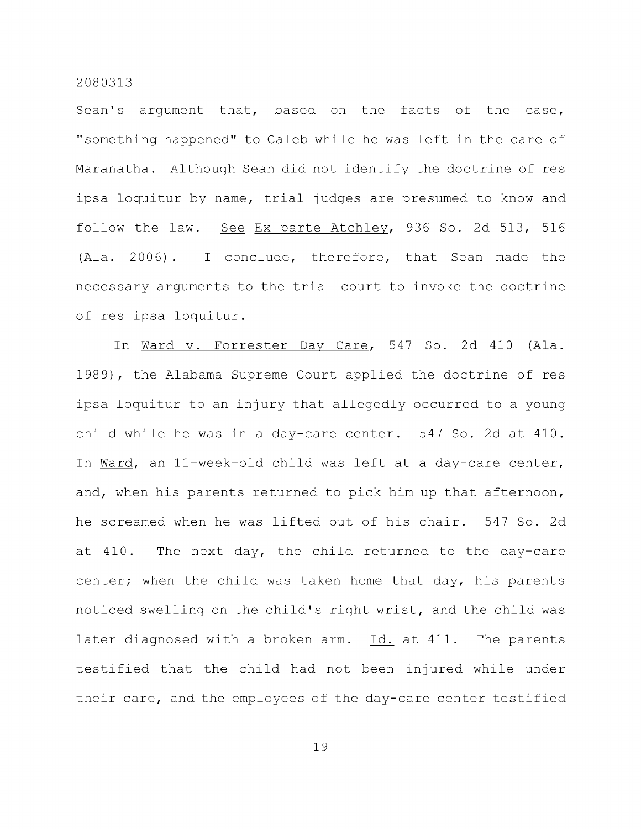Sean's argument that, based on the facts of the case, "something happened" to Caleb while he was left in the care of Maranatha. Although Sean did not identify the doctrine of res ipsa loquitur by name, trial judges are presumed to know and follow the law. See Ex parte Atchley, 936 So. 2d 513, 516 (Ala. 2006). I conclude, therefore, that Sean made the necessary arguments to the trial court to invoke the doctrine of res ipsa loquitur.

In Ward v. Forrester Day Care, 547 So. 2d 410 (Ala. 1989), the Alabama Supreme Court applied the doctrine of res ipsa loquitur to an injury that allegedly occurred to a young child while he was in a day-care center. 547 So. 2d at 410. In Ward, an 11-week-old child was left at a day-care center, and, when his parents returned to pick him up that afternoon, he screamed when he was lifted out of his chair. 547 So. 2d at 410. The next day, the child returned to the day-care center; when the child was taken home that day, his parents noticed swelling on the child's right wrist, and the child was later diagnosed with a broken arm. Id. at 411. The parents testified that the child had not been injured while under their care, and the employees of the day-care center testified

l: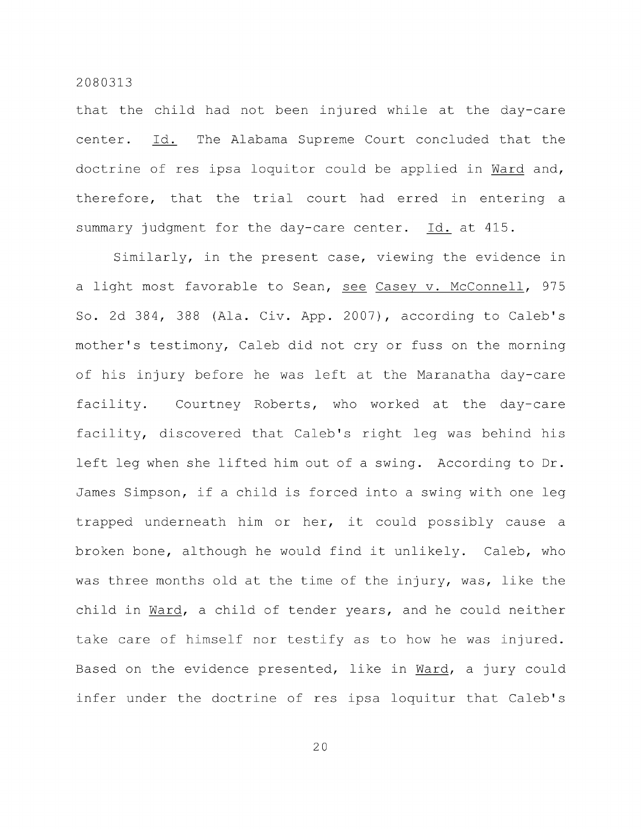that the child had not been injured while at the day-care center. Id. The Alabama Supreme Court concluded that the doctrine of res ipsa loquitor could be applied in Ward and, therefore, that the trial court had erred in entering a summary judgment for the day-care center. Id. at 415.

Similarly, in the present case, viewing the evidence in a light most favorable to Sean, see Casey v. McConnell, 975 So. 2d 384, 388 (Ala. Civ. App. 2007), according to Caleb's mother's testimony, Caleb did not cry or fuss on the morning of his injury before he was left at the Maranatha day-care facility. Courtney Roberts, who worked at the day-care facility, discovered that Caleb's right leg was behind his left leg when she lifted him out of a swing. According to Dr. James Simpson, if a child is forced into a swing with one leg trapped underneath him or her, it could possibly cause a broken bone, although he would find it unlikely. Caleb, who was three months old at the time of the injury, was, like the child in Ward, a child of tender years, and he could neither take care of himself nor testify as to how he was injured. Based on the evidence presented, like in Ward, a jury could infer under the doctrine of res ipsa loquitur that Caleb's